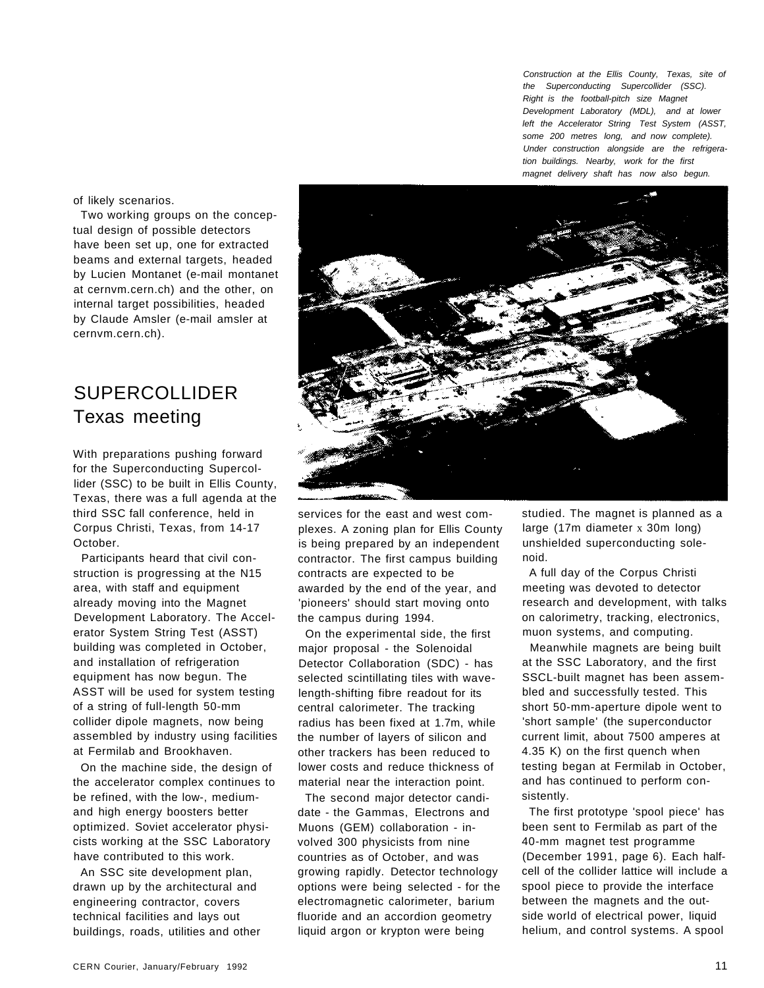Construction at the Ellis County, Texas, site of the Superconducting Supercollider (SSC). Right is the football-pitch size Magnet Development Laboratory (MDL), and at lower left the Accelerator String Test System (ASST, some 200 metres long, and now complete). Under construction alongside are the refrigeration buildings. Nearby, work for the first magnet delivery shaft has now also begun.

of likely scenarios.

Two working groups on the conceptual design of possible detectors have been set up, one for extracted beams and external targets, headed by Lucien Montanet (e-mail montanet at cernvm.cern.ch) and the other, on internal target possibilities, headed by Claude Amsler (e-mail amsler at cernvm.cern.ch).

## SUPERCOLLIDER Texas meeting

With preparations pushing forward for the Superconducting Supercollider (SSC) to be built in Ellis County, Texas, there was a full agenda at the third SSC fall conference, held in Corpus Christi, Texas, from 14-17 October.

Participants heard that civil construction is progressing at the N15 area, with staff and equipment already moving into the Magnet Development Laboratory. The Accelerator System String Test (ASST) building was completed in October, and installation of refrigeration equipment has now begun. The ASST will be used for system testing of a string of full-length 50-mm collider dipole magnets, now being assembled by industry using facilities at Fermilab and Brookhaven.

On the machine side, the design of the accelerator complex continues to be refined, with the low-, mediumand high energy boosters better optimized. Soviet accelerator physicists working at the SSC Laboratory have contributed to this work.

An SSC site development plan, drawn up by the architectural and engineering contractor, covers technical facilities and lays out buildings, roads, utilities and other



services for the east and west complexes. A zoning plan for Ellis County is being prepared by an independent contractor. The first campus building contracts are expected to be awarded by the end of the year, and 'pioneers' should start moving onto the campus during 1994.

On the experimental side, the first major proposal - the Solenoidal Detector Collaboration (SDC) - has selected scintillating tiles with wavelength-shifting fibre readout for its central calorimeter. The tracking radius has been fixed at 1.7m, while the number of layers of silicon and other trackers has been reduced to lower costs and reduce thickness of material near the interaction point.

The second major detector candidate - the Gammas, Electrons and Muons (GEM) collaboration - involved 300 physicists from nine countries as of October, and was growing rapidly. Detector technology options were being selected - for the electromagnetic calorimeter, barium fluoride and an accordion geometry liquid argon or krypton were being

studied. The magnet is planned as a large (17m diameter x 30m long) unshielded superconducting solenoid.

A full day of the Corpus Christi meeting was devoted to detector research and development, with talks on calorimetry, tracking, electronics, muon systems, and computing.

Meanwhile magnets are being built at the SSC Laboratory, and the first SSCL-built magnet has been assembled and successfully tested. This short 50-mm-aperture dipole went to 'short sample' (the superconductor current limit, about 7500 amperes at 4.35 K) on the first quench when testing began at Fermilab in October, and has continued to perform consistently.

The first prototype 'spool piece' has been sent to Fermilab as part of the 40-mm magnet test programme (December 1991, page 6). Each halfcell of the collider lattice will include a spool piece to provide the interface between the magnets and the outside world of electrical power, liquid helium, and control systems. A spool